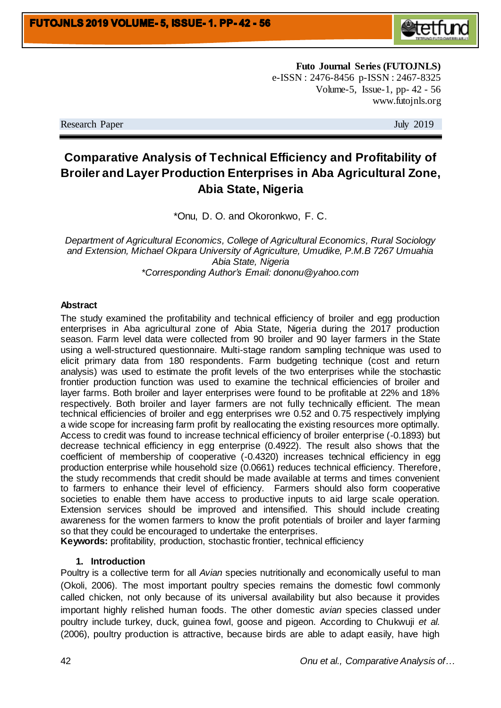

**Futo Journal Series (FUTOJNLS)** e-ISSN : 2476-8456 p-ISSN : 2467-8325 Volume-5, Issue-1, pp- 42 - 56 www.futojnls.org

Research Paper July 2019

# **Comparative Analysis of Technical Efficiency and Profitability of Broiler and Layer Production Enterprises in Aba Agricultural Zone, Abia State, Nigeria**

\*Onu, D. O. and Okoronkwo, F. C.

*Department of Agricultural Economics, College of Agricultural Economics, Rural Sociology and Extension, Michael Okpara University of Agriculture, Umudike, P.M.B 7267 Umuahia Abia State, Nigeria \*Corresponding Author's Email: dononu@yahoo.com*

#### **Abstract**

The study examined the profitability and technical efficiency of broiler and egg production enterprises in Aba agricultural zone of Abia State, Nigeria during the 2017 production season. Farm level data were collected from 90 broiler and 90 layer farmers in the State using a well-structured questionnaire. Multi-stage random sampling technique was used to elicit primary data from 180 respondents. Farm budgeting technique (cost and return analysis) was used to estimate the profit levels of the two enterprises while the stochastic frontier production function was used to examine the technical efficiencies of broiler and layer farms. Both broiler and layer enterprises were found to be profitable at 22% and 18% respectively. Both broiler and layer farmers are not fully technically efficient. The mean technical efficiencies of broiler and egg enterprises wre 0.52 and 0.75 respectively implying a wide scope for increasing farm profit by reallocating the existing resources more optimally. Access to credit was found to increase technical efficiency of broiler enterprise (-0.1893) but decrease technical efficiency in egg enterprise (0.4922). The result also shows that the coefficient of membership of cooperative (-0.4320) increases technical efficiency in egg production enterprise while household size (0.0661) reduces technical efficiency. Therefore, the study recommends that credit should be made available at terms and times convenient to farmers to enhance their level of efficiency. Farmers should also form cooperative societies to enable them have access to productive inputs to aid large scale operation. Extension services should be improved and intensified. This should include creating awareness for the women farmers to know the profit potentials of broiler and layer farming so that they could be encouraged to undertake the enterprises.

**Keywords:** profitability, production, stochastic frontier, technical efficiency

#### **1. Introduction**

Poultry is a collective term for all *Avian* species nutritionally and economically useful to man (Okoli, 2006). The most important poultry species remains the domestic fowl commonly called chicken, not only because of its universal availability but also because it provides important highly relished human foods. The other domestic *avian* species classed under poultry include turkey, duck, guinea fowl, goose and pigeon. According to Chukwuji *et al.* (2006), poultry production is attractive, because birds are able to adapt easily, have high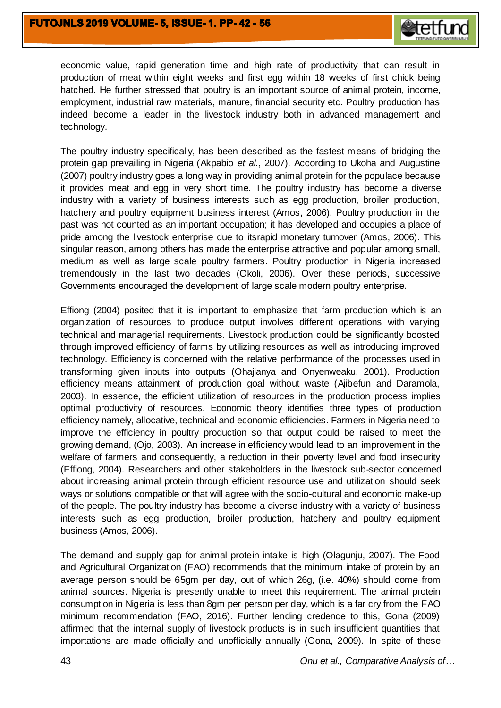

economic value, rapid generation time and high rate of productivity that can result in production of meat within eight weeks and first egg within 18 weeks of first chick being hatched. He further stressed that poultry is an important source of animal protein, income, employment, industrial raw materials, manure, financial security etc. Poultry production has indeed become a leader in the livestock industry both in advanced management and technology.

The poultry industry specifically, has been described as the fastest means of bridging the protein gap prevailing in Nigeria (Akpabio *et al.*, 2007). According to Ukoha and Augustine (2007) poultry industry goes a long way in providing animal protein for the populace because it provides meat and egg in very short time. The poultry industry has become a diverse industry with a variety of business interests such as egg production, broiler production, hatchery and poultry equipment business interest (Amos, 2006). Poultry production in the past was not counted as an important occupation; it has developed and occupies a place of pride among the livestock enterprise due to itsrapid monetary turnover (Amos, 2006). This singular reason, among others has made the enterprise attractive and popular among small, medium as well as large scale poultry farmers. Poultry production in Nigeria increased tremendously in the last two decades (Okoli, 2006). Over these periods, successive Governments encouraged the development of large scale modern poultry enterprise.

Effiong (2004) posited that it is important to emphasize that farm production which is an organization of resources to produce output involves different operations with varying technical and managerial requirements. Livestock production could be significantly boosted through improved efficiency of farms by utilizing resources as well as introducing improved technology. Efficiency is concerned with the relative performance of the processes used in transforming given inputs into outputs (Ohajianya and Onyenweaku, 2001). Production efficiency means attainment of production goal without waste (Ajibefun and Daramola, 2003). In essence, the efficient utilization of resources in the production process implies optimal productivity of resources. Economic theory identifies three types of production efficiency namely, allocative, technical and economic efficiencies. Farmers in Nigeria need to improve the efficiency in poultry production so that output could be raised to meet the growing demand, (Ojo, 2003). An increase in efficiency would lead to an improvement in the welfare of farmers and consequently, a reduction in their poverty level and food insecurity (Effiong, 2004). Researchers and other stakeholders in the livestock sub-sector concerned about increasing animal protein through efficient resource use and utilization should seek ways or solutions compatible or that will agree with the socio-cultural and economic make-up of the people. The poultry industry has become a diverse industry with a variety of business interests such as egg production, broiler production, hatchery and poultry equipment business (Amos, 2006).

The demand and supply gap for animal protein intake is high (Olagunju, 2007). The Food and Agricultural Organization (FAO) recommends that the minimum intake of protein by an average person should be 65gm per day, out of which 26g, (i.e. 40%) should come from animal sources. Nigeria is presently unable to meet this requirement. The animal protein consumption in Nigeria is less than 8gm per person per day, which is a far cry from the FAO minimum recommendation (FAO, 2016). Further lending credence to this, Gona (2009) affirmed that the internal supply of livestock products is in such insufficient quantities that importations are made officially and unofficially annually (Gona, 2009). In spite of these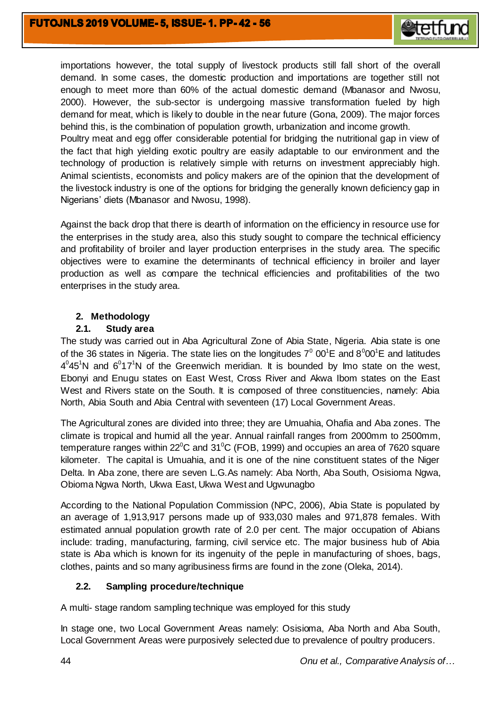

importations however, the total supply of livestock products still fall short of the overall demand. In some cases, the domestic production and importations are together still not enough to meet more than 60% of the actual domestic demand (Mbanasor and Nwosu, 2000). However, the sub-sector is undergoing massive transformation fueled by high demand for meat, which is likely to double in the near future (Gona, 2009). The major forces behind this, is the combination of population growth, urbanization and income growth.

Poultry meat and egg offer considerable potential for bridging the nutritional gap in view of the fact that high yielding exotic poultry are easily adaptable to our environment and the technology of production is relatively simple with returns on investment appreciably high. Animal scientists, economists and policy makers are of the opinion that the development of the livestock industry is one of the options for bridging the generally known deficiency gap in Nigerians' diets (Mbanasor and Nwosu, 1998).

Against the back drop that there is dearth of information on the efficiency in resource use for the enterprises in the study area, also this study sought to compare the technical efficiency and profitability of broiler and layer production enterprises in the study area. The specific objectives were to examine the determinants of technical efficiency in broiler and layer production as well as compare the technical efficiencies and profitabilities of the two enterprises in the study area.

# **2. Methodology**

# **2.1. Study area**

The study was carried out in Aba Agricultural Zone of Abia State, Nigeria. Abia state is one of the 36 states in Nigeria. The state lies on the longitudes  $7^{\circ}$  00<sup>1</sup>E and 8<sup>0</sup>00<sup>1</sup>E and latitudes  $4^0$ 45<sup>1</sup>N and  $6^0$ 17<sup>1</sup>N of the Greenwich meridian. It is bounded by Imo state on the west, Ebonyi and Enugu states on East West, Cross River and Akwa Ibom states on the East West and Rivers state on the South. It is composed of three constituencies, namely: Abia North, Abia South and Abia Central with seventeen (17) Local Government Areas.

The Agricultural zones are divided into three; they are Umuahia, Ohafia and Aba zones. The climate is tropical and humid all the year. Annual rainfall ranges from 2000mm to 2500mm, temperature ranges within  $22^{\circ}$ C and  $31^{\circ}$ C (FOB, 1999) and occupies an area of 7620 square kilometer. The capital is Umuahia, and it is one of the nine constituent states of the Niger Delta. In Aba zone, there are seven L.G.As namely: Aba North, Aba South, Osisioma Ngwa, Obioma Ngwa North, Ukwa East, Ukwa West and Ugwunagbo

According to the National Population Commission (NPC, 2006), Abia State is populated by an average of 1,913,917 persons made up of 933,030 males and 971,878 females. With estimated annual population growth rate of 2.0 per cent. The major occupation of Abians include: trading, manufacturing, farming, civil service etc. The major business hub of Abia state is Aba which is known for its ingenuity of the peple in manufacturing of shoes, bags, clothes, paints and so many agribusiness firms are found in the zone (Oleka, 2014).

# **2.2. Sampling procedure/technique**

A multi- stage random sampling technique was employed for this study

In stage one, two Local Government Areas namely: Osisioma, Aba North and Aba South, Local Government Areas were purposively selected due to prevalence of poultry producers.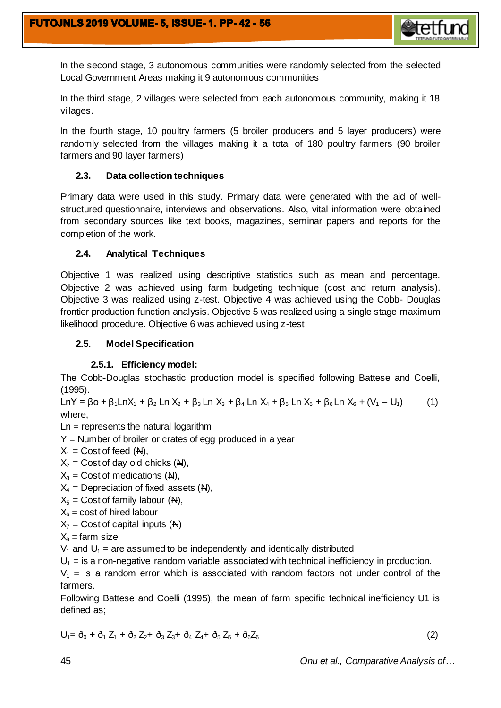

In the second stage, 3 autonomous communities were randomly selected from the selected Local Government Areas making it 9 autonomous communities

In the third stage, 2 villages were selected from each autonomous community, making it 18 villages.

In the fourth stage, 10 poultry farmers (5 broiler producers and 5 layer producers) were randomly selected from the villages making it a total of 180 poultry farmers (90 broiler farmers and 90 layer farmers)

# **2.3. Data collection techniques**

Primary data were used in this study. Primary data were generated with the aid of wellstructured questionnaire, interviews and observations. Also, vital information were obtained from secondary sources like text books, magazines, seminar papers and reports for the completion of the work.

# **2.4. Analytical Techniques**

Objective 1 was realized using descriptive statistics such as mean and percentage. Objective 2 was achieved using farm budgeting technique (cost and return analysis). Objective 3 was realized using z-test. Objective 4 was achieved using the Cobb- Douglas frontier production function analysis. Objective 5 was realized using a single stage maximum likelihood procedure. Objective 6 was achieved using z-test

# **2.5. Model Specification**

# **2.5.1. Efficiency model:**

The Cobb-Douglas stochastic production model is specified following Battese and Coelli, (1995).

LnY = βo + β<sub>1</sub>LnX<sub>1</sub> + β<sub>2</sub> Ln X<sub>2</sub> + β<sub>3</sub> Ln X<sub>3</sub> + β<sub>4</sub> Ln X<sub>4</sub> + β<sub>5</sub> Ln X<sub>5</sub> + β<sub>6</sub> Ln X<sub>6</sub> + (V<sub>1</sub> – U<sub>1</sub>) (1) where,

 $Ln =$  represents the natural logarithm

 $Y =$  Number of broiler or crates of egg produced in a year

 $X_1$  = Cost of feed  $(M)$ ,

 $X_2$  = Cost of day old chicks ( $\mathbb{A}$ ),

 $X_3$  = Cost of medications ( $\mathbf{A}$ ),

 $X_4$  = Depreciation of fixed assets ( $\mathbf{A}$ ),

 $X_5$  = Cost of family labour ( $\mathbb{A}$ ),

$$
X_6 = \text{cost of hired labour}
$$

 $X_7$  = Cost of capital inputs ( $\overline{H}$ )

$$
X_8 = \text{farm size}
$$

 $V_1$  and  $U_1$  = are assumed to be independently and identically distributed

 $U_1$  = is a non-negative random variable associated with technical inefficiency in production.

 $V_1$  = is a random error which is associated with random factors not under control of the farmers.

Following Battese and Coelli (1995), the mean of farm specific technical inefficiency U1 is defined as;

$$
U_1 = \delta_0 + \delta_1 Z_1 + \delta_2 Z_2 + \delta_3 Z_3 + \delta_4 Z_4 + \delta_5 Z_5 + \delta_6 Z_6 \tag{2}
$$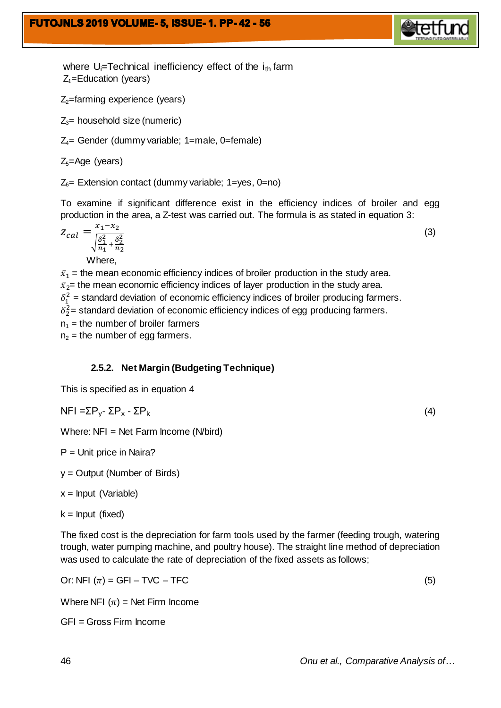

where  $U_i$ =Technical inefficiency effect of the  $i_{th}$  farm  $Z_1$ =Education (years)

 $Z_2$ =farming experience (years)

 $Z_3$ = household size (numeric)

 $Z_4$ = Gender (dummy variable; 1=male, 0=female)

 $Z_5$ =Age (years)

 $Z<sub>6</sub>=$  Extension contact (dummy variable; 1=yes, 0=no)

To examine if significant difference exist in the efficiency indices of broiler and egg production in the area, a Z-test was carried out. The formula is as stated in equation 3:

$$
Z_{cal} = \frac{\bar{x}_1 - \bar{x}_2}{\sqrt{\frac{\delta_1^2}{n_1} + \frac{\delta_2^2}{n_2}}} \tag{3}
$$

Where,

 $\bar{x}_1$  = the mean economic efficiency indices of broiler production in the study area.  $\bar{x}_{2}$  = the mean economic efficiency indices of layer production in the study area.  $\delta_1^2$  = standard deviation of economic efficiency indices of broiler producing farmers.  $\delta_2^2$ = standard deviation of economic efficiency indices of egg producing farmers.  $n_1$  = the number of broiler farmers  $n_2$  = the number of egg farmers.

# **2.5.2. Net Margin (Budgeting Technique)**

This is specified as in equation 4

$$
NFI = \Sigma P_y - \Sigma P_x - \Sigma P_k \tag{4}
$$

Where:  $NFI = Net Farm Income (N/bird)$ 

 $P =$  Unit price in Naira?

y = Output (Number of Birds)

 $x =$  Input (Variable)

 $k =$  Input (fixed)

The fixed cost is the depreciation for farm tools used by the farmer (feeding trough, watering trough, water pumping machine, and poultry house). The straight line method of depreciation was used to calculate the rate of depreciation of the fixed assets as follows;

Or: NFI  $(\pi)$  = GFI – TVC – TFC (5)

Where NFI  $(\pi)$  = Net Firm Income

GFI = Gross Firm Income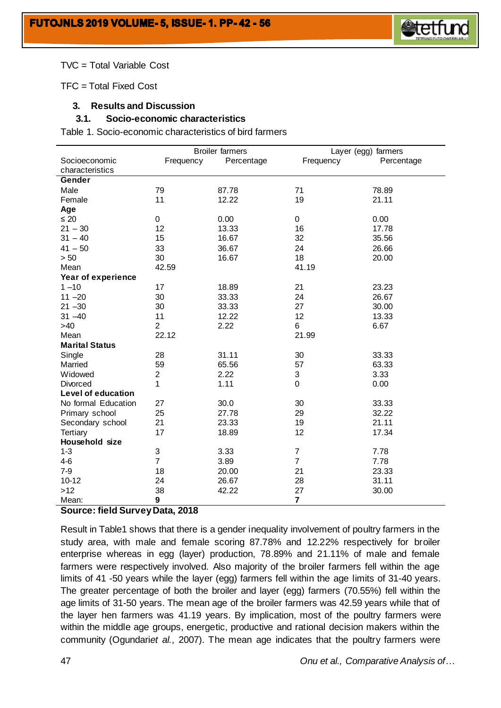

#### TVC = Total Variable Cost

TFC = Total Fixed Cost

### **3. Results and Discussion**

#### **3.1. Socio-economic characteristics**

Table 1. Socio-economic characteristics of bird farmers

|                       | <b>Broiler farmers</b> |            | Layer (egg) farmers |            |  |  |
|-----------------------|------------------------|------------|---------------------|------------|--|--|
| Socioeconomic         | Frequency              | Percentage | Frequency           | Percentage |  |  |
| characteristics       |                        |            |                     |            |  |  |
| Gender                |                        |            |                     |            |  |  |
| Male                  | 79                     | 87.78      | 71                  | 78.89      |  |  |
| Female                | 11                     | 12.22      | 19                  | 21.11      |  |  |
| Age                   |                        |            |                     |            |  |  |
| $\leq 20$             | 0                      | 0.00       | 0                   | 0.00       |  |  |
| $21 - 30$             | 12                     | 13.33      | 16                  | 17.78      |  |  |
| $31 - 40$             | 15                     | 16.67      | 32                  | 35.56      |  |  |
| $41 - 50$             | 33                     | 36.67      | 24                  | 26.66      |  |  |
| > 50                  | 30                     | 16.67      | 18                  | 20.00      |  |  |
| Mean                  | 42.59                  |            | 41.19               |            |  |  |
| Year of experience    |                        |            |                     |            |  |  |
| $1 - 10$              | 17                     | 18.89      | 21                  | 23.23      |  |  |
| $11 - 20$             | 30                     | 33.33      | 24                  | 26.67      |  |  |
| $21 - 30$             | 30                     | 33.33      | 27                  | 30.00      |  |  |
| $31 - 40$             | 11                     | 12.22      | 12                  | 13.33      |  |  |
| >40                   | $\overline{2}$         | 2.22       | 6                   | 6.67       |  |  |
| Mean                  | 22.12                  |            | 21.99               |            |  |  |
| <b>Marital Status</b> |                        |            |                     |            |  |  |
| Single                | 28                     | 31.11      | 30                  | 33.33      |  |  |
| Married               | 59                     | 65.56      | 57                  | 63.33      |  |  |
| Widowed               | $\overline{c}$         | 2.22       | $\mathsf 3$         | 3.33       |  |  |
| Divorced              | 1                      | 1.11       | 0                   | 0.00       |  |  |
| Level of education    |                        |            |                     |            |  |  |
| No formal Education   | 27                     | 30.0       | 30                  | 33.33      |  |  |
| Primary school        | 25                     | 27.78      | 29                  | 32.22      |  |  |
| Secondary school      | 21                     | 23.33      | 19                  | 21.11      |  |  |
| Tertiary              | 17                     | 18.89      | 12                  | 17.34      |  |  |
| Household size        |                        |            |                     |            |  |  |
| $1 - 3$               | 3                      | 3.33       | $\overline{7}$      | 7.78       |  |  |
| $4-6$                 | $\overline{7}$         | 3.89       | $\overline{7}$      | 7.78       |  |  |
| $7-9$                 | 18                     | 20.00      | 21                  | 23.33      |  |  |
| $10 - 12$             | 24                     | 26.67      | 28                  | 31.11      |  |  |
| $>12$                 | 38                     | 42.22      | 27                  | 30.00      |  |  |
| Mean:                 | 9                      |            | $\overline{7}$      |            |  |  |

#### **Source: field Survey Data, 2018**

Result in Table1 shows that there is a gender inequality involvement of poultry farmers in the study area, with male and female scoring 87.78% and 12.22% respectively for broiler enterprise whereas in egg (layer) production, 78.89% and 21.11% of male and female farmers were respectively involved. Also majority of the broiler farmers fell within the age limits of 41 -50 years while the layer (egg) farmers fell within the age limits of 31-40 years. The greater percentage of both the broiler and layer (egg) farmers (70.55%) fell within the age limits of 31-50 years. The mean age of the broiler farmers was 42.59 years while that of the layer hen farmers was 41.19 years. By implication, most of the poultry farmers were within the middle age groups, energetic, productive and rational decision makers within the community (Ogundari*et al.*, 2007). The mean age indicates that the poultry farmers were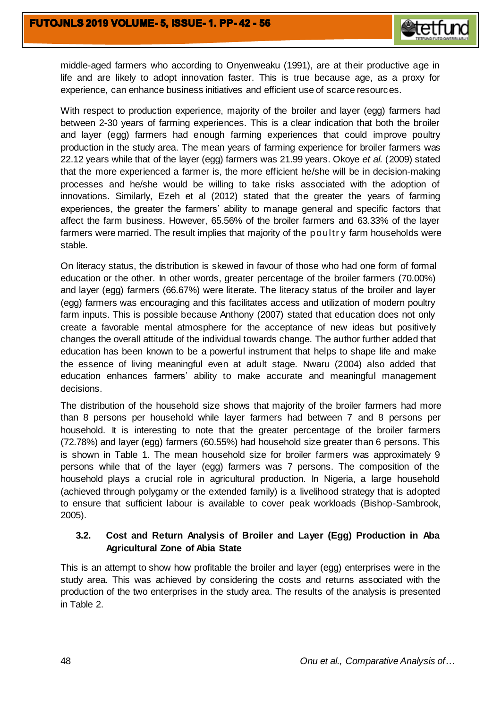

middle-aged farmers who according to Onyenweaku (1991), are at their productive age in life and are likely to adopt innovation faster. This is true because age, as a proxy for experience, can enhance business initiatives and efficient use of scarce resources.

With respect to production experience, majority of the broiler and layer (egg) farmers had between 2-30 years of farming experiences. This is a clear indication that both the broiler and layer (egg) farmers had enough farming experiences that could improve poultry production in the study area. The mean years of farming experience for broiler farmers was 22.12 years while that of the layer (egg) farmers was 21.99 years. Okoye *et al.* (2009) stated that the more experienced a farmer is, the more efficient he/she will be in decision-making processes and he/she would be willing to take risks associated with the adoption of innovations. Similarly, Ezeh et al (2012) stated that the greater the years of farming experiences, the greater the farmers' ability to manage general and specific factors that affect the farm business. However, 65.56% of the broiler farmers and 63.33% of the layer farmers were married. The result implies that majority of the poultr y farm households were stable.

On literacy status, the distribution is skewed in favour of those who had one form of formal education or the other. In other words, greater percentage of the broiler farmers (70.00%) and layer (egg) farmers (66.67%) were literate. The literacy status of the broiler and layer (egg) farmers was encouraging and this facilitates access and utilization of modern poultry farm inputs. This is possible because Anthony (2007) stated that education does not only create a favorable mental atmosphere for the acceptance of new ideas but positively changes the overall attitude of the individual towards change. The author further added that education has been known to be a powerful instrument that helps to shape life and make the essence of living meaningful even at adult stage. Nwaru (2004) also added that education enhances farmers' ability to make accurate and meaningful management decisions.

The distribution of the household size shows that majority of the broiler farmers had more than 8 persons per household while layer farmers had between 7 and 8 persons per household. It is interesting to note that the greater percentage of the broiler farmers (72.78%) and layer (egg) farmers (60.55%) had household size greater than 6 persons. This is shown in Table 1. The mean household size for broiler farmers was approximately 9 persons while that of the layer (egg) farmers was 7 persons. The composition of the household plays a crucial role in agricultural production. In Nigeria, a large household (achieved through polygamy or the extended family) is a livelihood strategy that is adopted to ensure that sufficient labour is available to cover peak workloads (Bishop-Sambrook, 2005).

# **3.2. Cost and Return Analysis of Broiler and Layer (Egg) Production in Aba Agricultural Zone of Abia State**

This is an attempt to show how profitable the broiler and layer (egg) enterprises were in the study area. This was achieved by considering the costs and returns associated with the production of the two enterprises in the study area. The results of the analysis is presented in Table 2.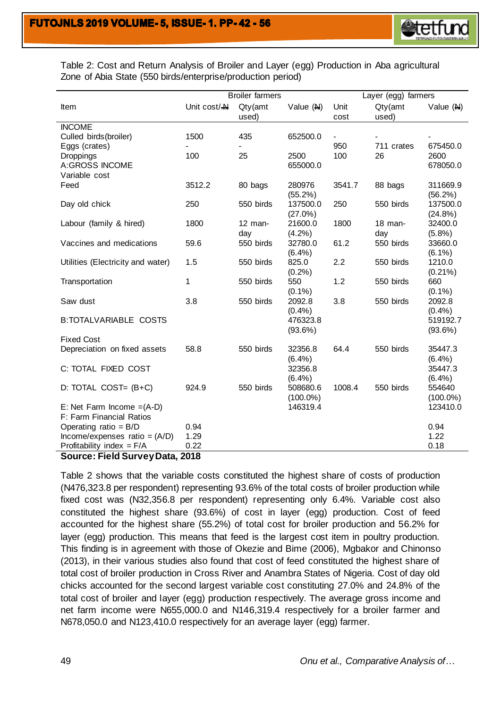

Table 2: Cost and Return Analysis of Broiler and Layer (egg) Production in Aba agricultural Zone of Abia State (550 birds/enterprise/production period)

|                                   | <b>Broiler farmers</b><br>Layer (egg) farmers |           |                      |        |            |                        |
|-----------------------------------|-----------------------------------------------|-----------|----------------------|--------|------------|------------------------|
| Item                              | Unit $cost / \triangle$                       | Qty(amt   | Value $(M)$          | Unit   | Qty(amt)   | Value $(M)$            |
|                                   |                                               | used)     |                      | cost   | used)      |                        |
| <b>INCOME</b>                     |                                               |           |                      |        |            |                        |
| Culled birds (broiler)            | 1500                                          | 435       | 652500.0             |        |            |                        |
| Eggs (crates)                     |                                               |           |                      | 950    | 711 crates | 675450.0               |
| Droppings                         | 100                                           | 25        | 2500                 | 100    | 26         | 2600                   |
| <b>A:GROSS INCOME</b>             |                                               |           | 655000.0             |        |            | 678050.0               |
| Variable cost                     |                                               |           |                      |        |            |                        |
| Feed                              | 3512.2                                        | 80 bags   | 280976<br>$(55.2\%)$ | 3541.7 | 88 bags    | 311669.9<br>$(56.2\%)$ |
| Day old chick                     | 250                                           | 550 birds | 137500.0             | 250    | 550 birds  | 137500.0               |
|                                   |                                               |           | $(27.0\%)$           |        |            | (24.8%)                |
| Labour (family & hired)           | 1800                                          | $12$ man- | 21600.0              | 1800   | $18$ man-  | 32400.0                |
|                                   |                                               | day       | (4.2%)               |        | day        | (5.8%)                 |
| Vaccines and medications          | 59.6                                          | 550 birds | 32780.0              | 61.2   | 550 birds  | 33660.0                |
|                                   |                                               |           | (6.4%)               |        |            | $(6.1\%)$              |
| Utilities (Electricity and water) | 1.5                                           | 550 birds | 825.0                | 2.2    | 550 birds  | 1210.0                 |
|                                   |                                               |           | (0.2%)               |        |            | $(0.21\%)$             |
| Transportation                    | 1                                             | 550 birds | 550                  | 1.2    | 550 birds  | 660                    |
|                                   |                                               |           | $(0.1\%)$            |        |            | $(0.1\%)$              |
| Saw dust                          | 3.8                                           | 550 birds | 2092.8               | 3.8    | 550 birds  | 2092.8                 |
|                                   |                                               |           | (0.4% )              |        |            | (0.4%                  |
| <b>B:TOTALVARIABLE COSTS</b>      |                                               |           | 476323.8             |        |            | 519192.7               |
| <b>Fixed Cost</b>                 |                                               |           | $(93.6\%)$           |        |            | (93.6%)                |
| Depreciation on fixed assets      | 58.8                                          | 550 birds | 32356.8              | 64.4   | 550 birds  | 35447.3                |
|                                   |                                               |           | $(6.4\%)$            |        |            | (6.4%)                 |
| C: TOTAL FIXED COST               |                                               |           | 32356.8              |        |            | 35447.3                |
|                                   |                                               |           | (6.4%)               |        |            | (6.4%)                 |
| D: TOTAL COST= $(B+C)$            | 924.9                                         | 550 birds | 508680.6             | 1008.4 | 550 birds  | 554640                 |
|                                   |                                               |           | $(100.0\%)$          |        |            | $(100.0\%)$            |
| E: Net Farm Income $=(A-D)$       |                                               |           | 146319.4             |        |            | 123410.0               |
| F: Farm Financial Ratios          |                                               |           |                      |        |            |                        |
| Operating ratio = $B/D$           | 0.94                                          |           |                      |        |            | 0.94                   |
| Income/expenses ratio = $(A/D)$   | 1.29                                          |           |                      |        |            | 1.22                   |
| Profitability index = $F/A$       | 0.22                                          |           |                      |        |            | 0.18                   |

#### **Source: Field Survey Data, 2018**

Table 2 shows that the variable costs constituted the highest share of costs of production (N476,323.8 per respondent) representing 93.6% of the total costs of broiler production while fixed cost was (N32,356.8 per respondent) representing only 6.4%. Variable cost also constituted the highest share (93.6%) of cost in layer (egg) production. Cost of feed accounted for the highest share (55.2%) of total cost for broiler production and 56.2% for layer (egg) production. This means that feed is the largest cost item in poultry production. This finding is in agreement with those of Okezie and Bime (2006), Mgbakor and Chinonso (2013), in their various studies also found that cost of feed constituted the highest share of total cost of broiler production in Cross River and Anambra States of Nigeria. Cost of day old chicks accounted for the second largest variable cost constituting 27.0% and 24.8% of the total cost of broiler and layer (egg) production respectively. The average gross income and net farm income were N655,000.0 and N146,319.4 respectively for a broiler farmer and N678,050.0 and N123,410.0 respectively for an average layer (egg) farmer.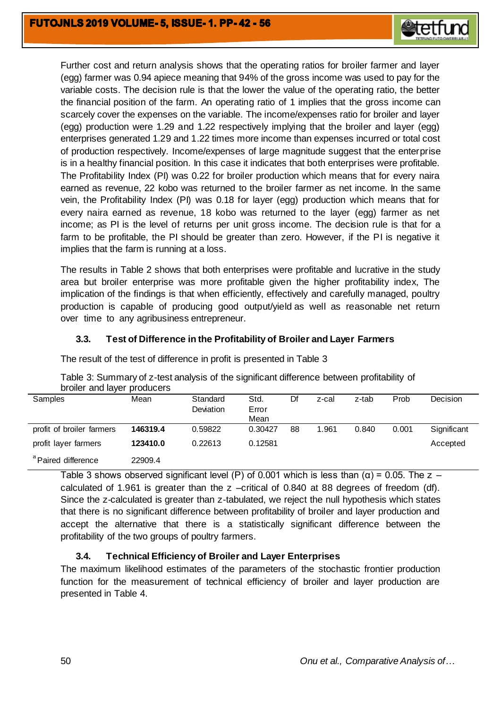

Further cost and return analysis shows that the operating ratios for broiler farmer and layer (egg) farmer was 0.94 apiece meaning that 94% of the gross income was used to pay for the variable costs. The decision rule is that the lower the value of the operating ratio, the better the financial position of the farm. An operating ratio of 1 implies that the gross income can scarcely cover the expenses on the variable. The income/expenses ratio for broiler and layer (egg) production were 1.29 and 1.22 respectively implying that the broiler and layer (egg) enterprises generated 1.29 and 1.22 times more income than expenses incurred or total cost of production respectively. Income/expenses of large magnitude suggest that the enterprise is in a healthy financial position. In this case it indicates that both enterprises were profitable. The Profitability Index (PI) was 0.22 for broiler production which means that for every naira earned as revenue, 22 kobo was returned to the broiler farmer as net income. In the same vein, the Profitability Index (PI) was 0.18 for layer (egg) production which means that for every naira earned as revenue, 18 kobo was returned to the layer (egg) farmer as net income; as PI is the level of returns per unit gross income. The decision rule is that for a farm to be profitable, the PI should be greater than zero. However, if the PI is negative it implies that the farm is running at a loss.

The results in Table 2 shows that both enterprises were profitable and lucrative in the study area but broiler enterprise was more profitable given the higher profitability index, The implication of the findings is that when efficiently, effectively and carefully managed, poultry production is capable of producing good output/yield as well as reasonable net return over time to any agribusiness entrepreneur.

# **3.3. Test of Difference in the Profitability of Broiler and Layer Farmers**

| broiler and layer producers    |          |                       |                       |    |       |       |       |             |
|--------------------------------|----------|-----------------------|-----------------------|----|-------|-------|-------|-------------|
| Samples                        | Mean     | Standard<br>Deviation | Std.<br>Error<br>Mean | Df | z-cal | z-tab | Prob  | Decision    |
| profit of broiler farmers      | 146319.4 | 0.59822               | 0.30427               | 88 | 1.961 | 0.840 | 0.001 | Significant |
| profit layer farmers           | 123410.0 | 0.22613               | 0.12581               |    |       |       |       | Accepted    |
| <sup>a</sup> Paired difference | 22909.4  |                       |                       |    |       |       |       |             |

The result of the test of difference in profit is presented in Table 3

| Table 3: Summary of z-test analysis of the significant difference between profitability of |  |  |  |  |
|--------------------------------------------------------------------------------------------|--|--|--|--|
| broiler and layer producers                                                                |  |  |  |  |
|                                                                                            |  |  |  |  |

Table 3 shows observed significant level (P) of 0.001 which is less than ( $\alpha$ ) = 0.05. The z – calculated of 1.961 is greater than the z –critical of 0.840 at 88 degrees of freedom (df). Since the z-calculated is greater than z-tabulated, we reject the null hypothesis which states that there is no significant difference between profitability of broiler and layer production and accept the alternative that there is a statistically significant difference between the profitability of the two groups of poultry farmers.

# **3.4. Technical Efficiency of Broiler and Layer Enterprises**

The maximum likelihood estimates of the parameters of the stochastic frontier production function for the measurement of technical efficiency of broiler and layer production are presented in Table 4.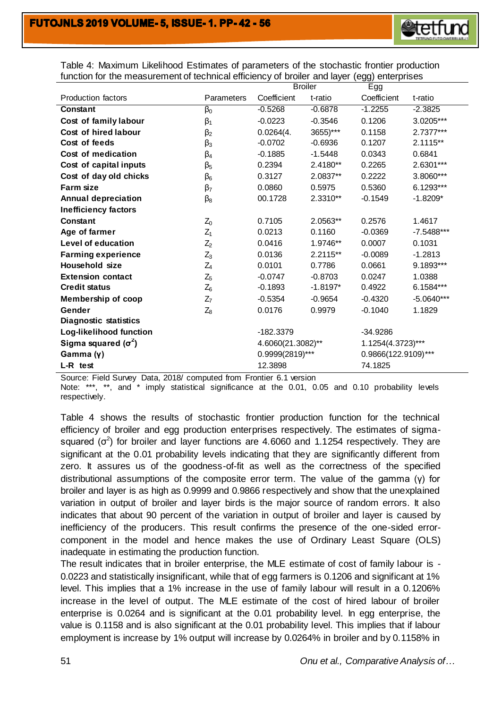

Table 4: Maximum Likelihood Estimates of parameters of the stochastic frontier production function for the measurement of technical efficiency of broiler and layer (egg) enterprises

|                             |             | <b>Broiler</b>    |            | <b>--</b><br>Egg    |              |  |
|-----------------------------|-------------|-------------------|------------|---------------------|--------------|--|
| <b>Production factors</b>   | Parameters  | Coefficient       | t-ratio    | Coefficient         | t-ratio      |  |
| Constant                    | $\beta_0$   | $-0.5268$         | $-0.6878$  | $-1.2255$           | $-2.3825$    |  |
| Cost of family labour       | $\beta_1$   | $-0.0223$         | $-0.3546$  | 0.1206              | 3.0205***    |  |
| Cost of hired labour        | $\beta_2$   | 0.0264(4.         | 3655)***   | 0.1158              | 2.7377***    |  |
| Cost of feeds               | $\beta_3$   | $-0.0702$         | $-0.6936$  | 0.1207              | $2.1115**$   |  |
| Cost of medication          | $\beta_4$   | $-0.1885$         | $-1.5448$  | 0.0343              | 0.6841       |  |
| Cost of capital inputs      | $\beta_{5}$ | 0.2394            | 2.4180**   | 0.2265              | 2.6301***    |  |
| Cost of day old chicks      | $\beta_6$   | 0.3127            | 2.0837**   | 0.2222              | 3.8060***    |  |
| <b>Farm size</b>            | $\beta_7$   | 0.0860            | 0.5975     | 0.5360              | 6.1293***    |  |
| <b>Annual depreciation</b>  | $\beta_8$   | 00.1728           | 2.3310**   | $-0.1549$           | $-1.8209*$   |  |
| <b>Inefficiency factors</b> |             |                   |            |                     |              |  |
| Constant                    | $Z_0$       | 0.7105            | 2.0563**   | 0.2576              | 1.4617       |  |
| Age of farmer               | $Z_1$       | 0.0213            | 0.1160     | $-0.0369$           | -7.5488***   |  |
| <b>Level of education</b>   | $Z_2$       | 0.0416            | 1.9746**   | 0.0007              | 0.1031       |  |
| <b>Farming experience</b>   | $Z_3$       | 0.0136            | $2.2115**$ | $-0.0089$           | $-1.2813$    |  |
| <b>Household size</b>       | $Z_4$       | 0.0101            | 0.7786     | 0.0661              | 9.1893***    |  |
| <b>Extension contact</b>    | $Z_5$       | $-0.0747$         | $-0.8703$  | 0.0247              | 1.0388       |  |
| <b>Credit status</b>        | $Z_6$       | $-0.1893$         | $-1.8197*$ | 0.4922              | 6.1584***    |  |
| <b>Membership of coop</b>   | $Z_7$       | $-0.5354$         | $-0.9654$  | $-0.4320$           | $-5.0640***$ |  |
| Gender                      | $Z_8$       | 0.0176            | 0.9979     | $-0.1040$           | 1.1829       |  |
| Diagnostic statistics       |             |                   |            |                     |              |  |
| Log-likelihood function     |             | -182.3379         |            | $-34.9286$          |              |  |
| Sigma squared $(\sigma^2)$  |             | 4.6060(21.3082)** |            | 1.1254(4.3723)***   |              |  |
| Gamma(y)                    |             | 0.9999(2819)***   |            | 0.9866(122.9109)*** |              |  |
| L-R test                    |             | 12.3898           |            | 74.1825             |              |  |

Source: Field Survey Data, 2018/ computed from Frontier 6.1 version

Note: \*\*\*, \*\*, and \* imply statistical significance at the 0.01, 0.05 and 0.10 probability levels respectively.

Table 4 shows the results of stochastic frontier production function for the technical efficiency of broiler and egg production enterprises respectively. The estimates of sigmasquared ( $\sigma^2$ ) for broiler and layer functions are 4.6060 and 1.1254 respectively. They are significant at the 0.01 probability levels indicating that they are significantly different from zero. It assures us of the goodness-of-fit as well as the correctness of the specified distributional assumptions of the composite error term. The value of the gamma (γ) for broiler and layer is as high as 0.9999 and 0.9866 respectively and show that the unexplained variation in output of broiler and layer birds is the major source of random errors. It also indicates that about 90 percent of the variation in output of broiler and layer is caused by inefficiency of the producers. This result confirms the presence of the one-sided errorcomponent in the model and hence makes the use of Ordinary Least Square (OLS) inadequate in estimating the production function.

The result indicates that in broiler enterprise, the MLE estimate of cost of family labour is - 0.0223 and statistically insignificant, while that of egg farmers is 0.1206 and significant at 1% level. This implies that a 1% increase in the use of family labour will result in a 0.1206% increase in the level of output. The MLE estimate of the cost of hired labour of broiler enterprise is 0.0264 and is significant at the 0.01 probability level. In egg enterprise, the value is 0.1158 and is also significant at the 0.01 probability level. This implies that if labour employment is increase by 1% output will increase by 0.0264% in broiler and by 0.1158% in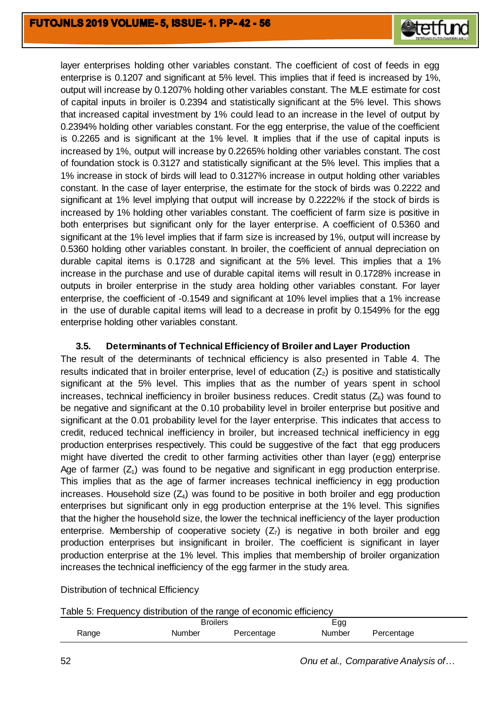

layer enterprises holding other variables constant. The coefficient of cost of feeds in egg enterprise is 0.1207 and significant at 5% level. This implies that if feed is increased by 1%, output will increase by 0.1207% holding other variables constant. The MLE estimate for cost of capital inputs in broiler is 0.2394 and statistically significant at the 5% level. This shows that increased capital investment by 1% could lead to an increase in the level of output by 0.2394% holding other variables constant. For the egg enterprise, the value of the coefficient is 0.2265 and is significant at the 1% level. It implies that if the use of capital inputs is increased by 1%, output will increase by 0.2265% holding other variables constant. The cost of foundation stock is 0.3127 and statistically significant at the 5% level. This implies that a 1% increase in stock of birds will lead to 0.3127% increase in output holding other variables constant. In the case of layer enterprise, the estimate for the stock of birds was 0.2222 and significant at 1% level implying that output will increase by 0.2222% if the stock of birds is increased by 1% holding other variables constant. The coefficient of farm size is positive in both enterprises but significant only for the layer enterprise. A coefficient of 0.5360 and significant at the 1% level implies that if farm size is increased by 1%, output will increase by 0.5360 holding other variables constant. In broiler, the coefficient of annual depreciation on durable capital items is 0.1728 and significant at the 5% level. This implies that a 1% increase in the purchase and use of durable capital items will result in 0.1728% increase in outputs in broiler enterprise in the study area holding other variables constant. For layer enterprise, the coefficient of -0.1549 and significant at 10% level implies that a 1% increase in the use of durable capital items will lead to a decrease in profit by 0.1549% for the egg enterprise holding other variables constant.

# **3.5. Determinants of Technical Efficiency of Broiler and Layer Production**

The result of the determinants of technical efficiency is also presented in Table 4. The results indicated that in broiler enterprise, level of education  $(Z_2)$  is positive and statistically significant at the 5% level. This implies that as the number of years spent in school increases, technical inefficiency in broiler business reduces. Credit status  $(Z_6)$  was found to be negative and significant at the 0.10 probability level in broiler enterprise but positive and significant at the 0.01 probability level for the layer enterprise. This indicates that access to credit, reduced technical inefficiency in broiler, but increased technical inefficiency in egg production enterprises respectively. This could be suggestive of the fact that egg producers might have diverted the credit to other farming activities other than layer (egg) enterprise Age of farmer  $(Z_1)$  was found to be negative and significant in egg production enterprise. This implies that as the age of farmer increases technical inefficiency in egg production increases. Household size  $(Z_4)$  was found to be positive in both broiler and egg production enterprises but significant only in egg production enterprise at the 1% level. This signifies that the higher the household size, the lower the technical inefficiency of the layer production enterprise. Membership of cooperative society  $(Z_7)$  is negative in both broiler and egg production enterprises but insignificant in broiler. The coefficient is significant in layer production enterprise at the 1% level. This implies that membership of broiler organization increases the technical inefficiency of the egg farmer in the study area.

Distribution of technical Efficiency

| Table 5: Frequency distribution of the range of economic efficiency |  |  |
|---------------------------------------------------------------------|--|--|
|                                                                     |  |  |

|       | Broilers |            | Egg    |            |  |
|-------|----------|------------|--------|------------|--|
| Range | Number   | Percentage | Number | Percentage |  |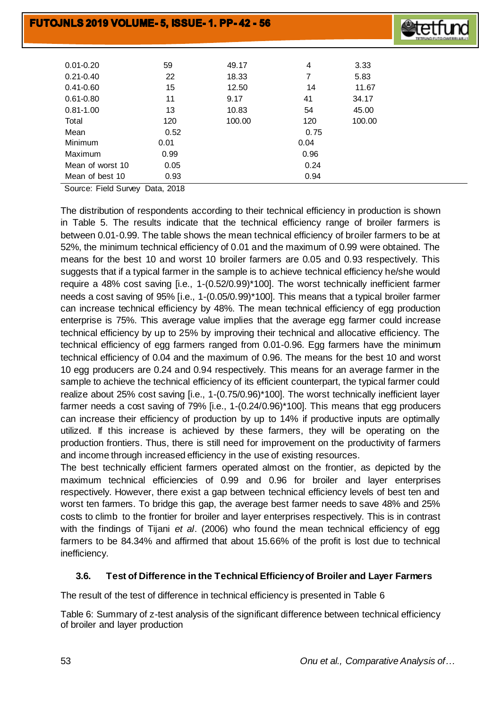

| $0.01 - 0.20$    | 59   | 49.17  | 4    | 3.33   |
|------------------|------|--------|------|--------|
| $0.21 - 0.40$    | 22   | 18.33  | 7    | 5.83   |
| $0.41 - 0.60$    | 15   | 12.50  | 14   | 11.67  |
| $0.61 - 0.80$    | 11   | 9.17   | 41   | 34.17  |
| $0.81 - 1.00$    | 13   | 10.83  | 54   | 45.00  |
| Total            | 120  | 100.00 | 120  | 100.00 |
| Mean             | 0.52 |        | 0.75 |        |
| Minimum          | 0.01 |        | 0.04 |        |
| Maximum          | 0.99 |        | 0.96 |        |
| Mean of worst 10 | 0.05 |        | 0.24 |        |
| Mean of best 10  | 0.93 |        | 0.94 |        |

Source: Field Survey Data, 2018

The distribution of respondents according to their technical efficiency in production is shown in Table 5. The results indicate that the technical efficiency range of broiler farmers is between 0.01-0.99. The table shows the mean technical efficiency of broiler farmers to be at 52%, the minimum technical efficiency of 0.01 and the maximum of 0.99 were obtained. The means for the best 10 and worst 10 broiler farmers are 0.05 and 0.93 respectively. This suggests that if a typical farmer in the sample is to achieve technical efficiency he/she would require a 48% cost saving [i.e., 1-(0.52/0.99)\*100]. The worst technically inefficient farmer needs a cost saving of 95% [i.e., 1-(0.05/0.99)\*100]. This means that a typical broiler farmer can increase technical efficiency by 48%. The mean technical efficiency of egg production enterprise is 75%. This average value implies that the average egg farmer could increase technical efficiency by up to 25% by improving their technical and allocative efficiency. The technical efficiency of egg farmers ranged from 0.01-0.96. Egg farmers have the minimum technical efficiency of 0.04 and the maximum of 0.96. The means for the best 10 and worst 10 egg producers are 0.24 and 0.94 respectively. This means for an average farmer in the sample to achieve the technical efficiency of its efficient counterpart, the typical farmer could realize about 25% cost saving [i.e., 1-(0.75/0.96)\*100]. The worst technically inefficient layer farmer needs a cost saving of 79% [i.e., 1-(0.24/0.96)\*100]. This means that egg producers can increase their efficiency of production by up to 14% if productive inputs are optimally utilized. If this increase is achieved by these farmers, they will be operating on the production frontiers. Thus, there is still need for improvement on the productivity of farmers and income through increased efficiency in the use of existing resources.

The best technically efficient farmers operated almost on the frontier, as depicted by the maximum technical efficiencies of 0.99 and 0.96 for broiler and layer enterprises respectively. However, there exist a gap between technical efficiency levels of best ten and worst ten farmers. To bridge this gap, the average best farmer needs to save 48% and 25% costs to climb to the frontier for broiler and layer enterprises respectively. This is in contrast with the findings of Tijani *et al*. (2006) who found the mean technical efficiency of egg farmers to be 84.34% and affirmed that about 15.66% of the profit is lost due to technical inefficiency.

# **3.6. Test of Difference in the Technical Efficiency of Broiler and Layer Farmers**

The result of the test of difference in technical efficiency is presented in Table 6

Table 6: Summary of z-test analysis of the significant difference between technical efficiency of broiler and layer production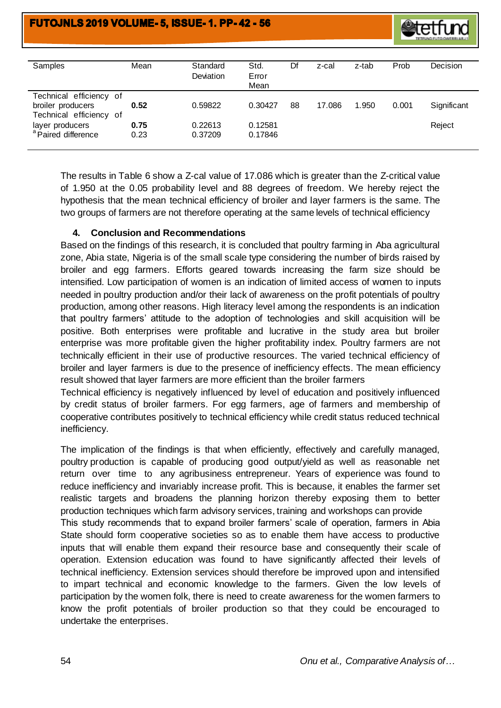

| Samples                                                                 | Mean         | Standard<br>Deviation | Std.<br>Error<br>Mean | Df | z-cal  | z-tab | Prob  | Decision    |
|-------------------------------------------------------------------------|--------------|-----------------------|-----------------------|----|--------|-------|-------|-------------|
| Technical efficiency of<br>broiler producers<br>Technical efficiency of | 0.52         | 0.59822               | 0.30427               | 88 | 17.086 | 1.950 | 0.001 | Significant |
| layer producers<br><sup>a</sup> Paired difference                       | 0.75<br>0.23 | 0.22613<br>0.37209    | 0.12581<br>0.17846    |    |        |       |       | Reject      |

The results in Table 6 show a Z-cal value of 17.086 which is greater than the Z-critical value of 1.950 at the 0.05 probability level and 88 degrees of freedom. We hereby reject the hypothesis that the mean technical efficiency of broiler and layer farmers is the same. The two groups of farmers are not therefore operating at the same levels of technical efficiency

# **4. Conclusion and Recommendations**

Based on the findings of this research, it is concluded that poultry farming in Aba agricultural zone, Abia state, Nigeria is of the small scale type considering the number of birds raised by broiler and egg farmers. Efforts geared towards increasing the farm size should be intensified. Low participation of women is an indication of limited access of women to inputs needed in poultry production and/or their lack of awareness on the profit potentials of poultry production, among other reasons. High literacy level among the respondents is an indication that poultry farmers' attitude to the adoption of technologies and skill acquisition will be positive. Both enterprises were profitable and lucrative in the study area but broiler enterprise was more profitable given the higher profitability index. Poultry farmers are not technically efficient in their use of productive resources. The varied technical efficiency of broiler and layer farmers is due to the presence of inefficiency effects. The mean efficiency result showed that layer farmers are more efficient than the broiler farmers

Technical efficiency is negatively influenced by level of education and positively influenced by credit status of broiler farmers. For egg farmers, age of farmers and membership of cooperative contributes positively to technical efficiency while credit status reduced technical inefficiency.

The implication of the findings is that when efficiently, effectively and carefully managed, poultry production is capable of producing good output/yield as well as reasonable net return over time to any agribusiness entrepreneur. Years of experience was found to reduce inefficiency and invariably increase profit. This is because, it enables the farmer set realistic targets and broadens the planning horizon thereby exposing them to better production techniques which farm advisory services, training and workshops can provide This study recommends that to expand broiler farmers' scale of operation, farmers in Abia State should form cooperative societies so as to enable them have access to productive inputs that will enable them expand their resource base and consequently their scale of operation. Extension education was found to have significantly affected their levels of technical inefficiency. Extension services should therefore be improved upon and intensified to impart technical and economic knowledge to the farmers. Given the low levels of participation by the women folk, there is need to create awareness for the women farmers to know the profit potentials of broiler production so that they could be encouraged to undertake the enterprises.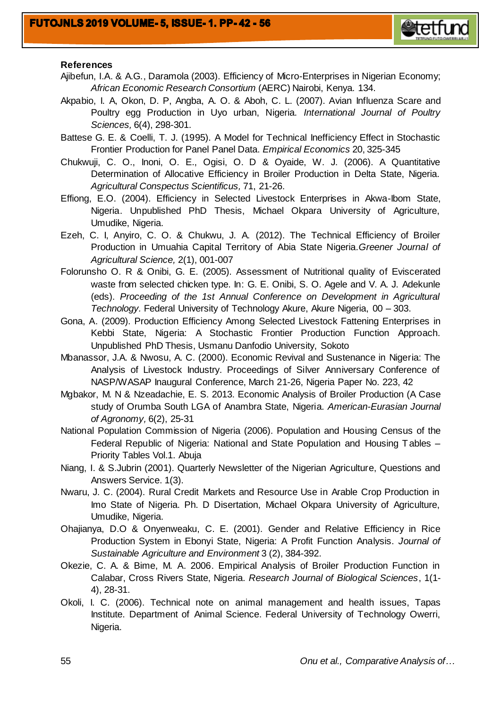

#### **References**

- Ajibefun, I.A. & A.G., Daramola (2003). Efficiency of Micro-Enterprises in Nigerian Economy; *African Economic Research Consortium* (AERC) Nairobi, Kenya. 134.
- Akpabio, I. A, Okon, D. P, Angba, A. O. & Aboh, C. L. (2007). Avian Influenza Scare and Poultry egg Production in Uyo urban, Nigeria. *International Journal of Poultry Sciences,* 6(4), 298-301.
- Battese G. E. & Coelli, T. J. (1995). A Model for Technical Inefficiency Effect in Stochastic Frontier Production for Panel Panel Data. *Empirical Economics* 20, 325-345
- Chukwuji, C. O., Inoni, O. E., Ogisi, O. D & Oyaide, W. J. (2006). A Quantitative Determination of Allocative Efficiency in Broiler Production in Delta State, Nigeria. *Agricultural Conspectus Scientificus,* 71, 21-26.
- Effiong, E.O. (2004). Efficiency in Selected Livestock Enterprises in Akwa-Ibom State, Nigeria. Unpublished PhD Thesis, Michael Okpara University of Agriculture, Umudike, Nigeria.
- Ezeh, C. I, Anyiro, C. O. & Chukwu, J. A. (2012). The Technical Efficiency of Broiler Production in Umuahia Capital Territory of Abia State Nigeria*.Greener Journal of Agricultural Science,* 2(1), 001-007
- Folorunsho O. R & Onibi, G. E. (2005). Assessment of Nutritional quality of Eviscerated waste from selected chicken type. In: G. E. Onibi, S. O. Agele and V. A. J. Adekunle (eds). *Proceeding of the 1st Annual Conference on Development in Agricultural Technology.* Federal University of Technology Akure, Akure Nigeria, 00 – 303.
- Gona, A. (2009). Production Efficiency Among Selected Livestock Fattening Enterprises in Kebbi State, Nigeria: A Stochastic Frontier Production Function Approach. Unpublished PhD Thesis, Usmanu Danfodio University, Sokoto
- Mbanassor, J.A. & Nwosu, A. C. (2000). Economic Revival and Sustenance in Nigeria: The Analysis of Livestock Industry. Proceedings of Silver Anniversary Conference of NASP/WASAP Inaugural Conference, March 21-26, Nigeria Paper No. 223, 42
- Mgbakor, M. N & Nzeadachie, E. S. 2013. Economic Analysis of Broiler Production (A Case study of Orumba South LGA of Anambra State, Nigeria. *American-Eurasian Journal of Agronomy,* 6(2), 25-31
- National Population Commission of Nigeria (2006). Population and Housing Census of the Federal Republic of Nigeria: National and State Population and Housing Tables – Priority Tables Vol.1. Abuja
- Niang, I. & S.Jubrin (2001). Quarterly Newsletter of the Nigerian Agriculture, Questions and Answers Service. 1(3).
- Nwaru, J. C. (2004). Rural Credit Markets and Resource Use in Arable Crop Production in Imo State of Nigeria. Ph. D Disertation, Michael Okpara University of Agriculture, Umudike, Nigeria.
- Ohajianya, D.O & Onyenweaku, C. E. (2001). Gender and Relative Efficiency in Rice Production System in Ebonyi State, Nigeria: A Profit Function Analysis. *Journal of Sustainable Agriculture and Environment* 3 (2), 384-392.
- Okezie, C. A. & Bime, M. A. 2006. Empirical Analysis of Broiler Production Function in Calabar, Cross Rivers State, Nigeria. *Research Journal of Biological Sciences*, 1(1- 4), 28-31.
- Okoli, I. C. (2006). Technical note on animal management and health issues, Tapas Institute. Department of Animal Science. Federal University of Technology Owerri, Nigeria.